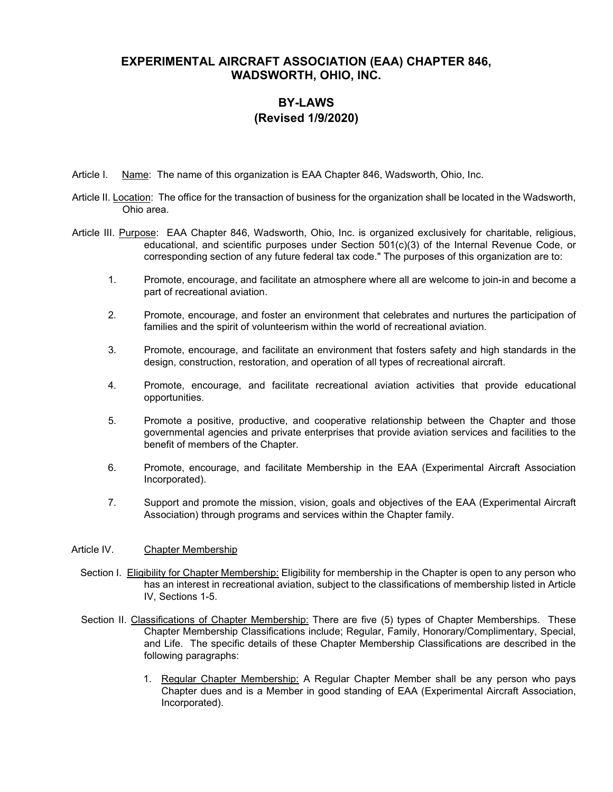### **EXPERIMENTAL AIRCRAFT ASSOCIATION (EAA) CHAPTER 846, WADSWORTH, OHIO, INC.**

## **BY-LAWS (Revised 1/9/2020)**

- Article I. Name: The name of this organization is EAA Chapter 846, Wadsworth, Ohio, Inc.
- Article II. Location: The office for the transaction of business for the organization shall be located in the Wadsworth, Ohio area.
- Article III. Purpose: EAA Chapter 846, Wadsworth, Ohio, Inc. is organized exclusively for charitable, religious, educational, and scientific purposes under Section 501(c)(3) of the Internal Revenue Code, or corresponding section of any future federal tax code." The purposes of this organization are to:
	- 1. Promote, encourage, and facilitate an atmosphere where all are welcome to join-in and become a part of recreational aviation.
	- 2. Promote, encourage, and foster an environment that celebrates and nurtures the participation of families and the spirit of volunteerism within the world of recreational aviation.
	- 3. Promote, encourage, and facilitate an environment that fosters safety and high standards in the design, construction, restoration, and operation of all types of recreational aircraft.
	- 4. Promote, encourage, and facilitate recreational aviation activities that provide educational opportunities.
	- 5. Promote a positive, productive, and cooperative relationship between the Chapter and those governmental agencies and private enterprises that provide aviation services and facilities to the benefit of members of the Chapter.
	- 6. Promote, encourage, and facilitate Membership in the EAA (Experimental Aircraft Association Incorporated).
	- 7. Support and promote the mission, vision, goals and objectives of the EAA (Experimental Aircraft Association) through programs and services within the Chapter family.

#### Article IV. Chapter Membership

- Section I. Eligibility for Chapter Membership: Eligibility for membership in the Chapter is open to any person who has an interest in recreational aviation, subject to the classifications of membership listed in Article IV, Sections 1-5.
- Section II. Classifications of Chapter Membership: There are five (5) types of Chapter Memberships. These Chapter Membership Classifications include; Regular, Family, Honorary/Complimentary, Special, and Life. The specific details of these Chapter Membership Classifications are described in the following paragraphs:
	- 1. Regular Chapter Membership: A Regular Chapter Member shall be any person who pays Chapter dues and is a Member in good standing of EAA (Experimental Aircraft Association, Incorporated).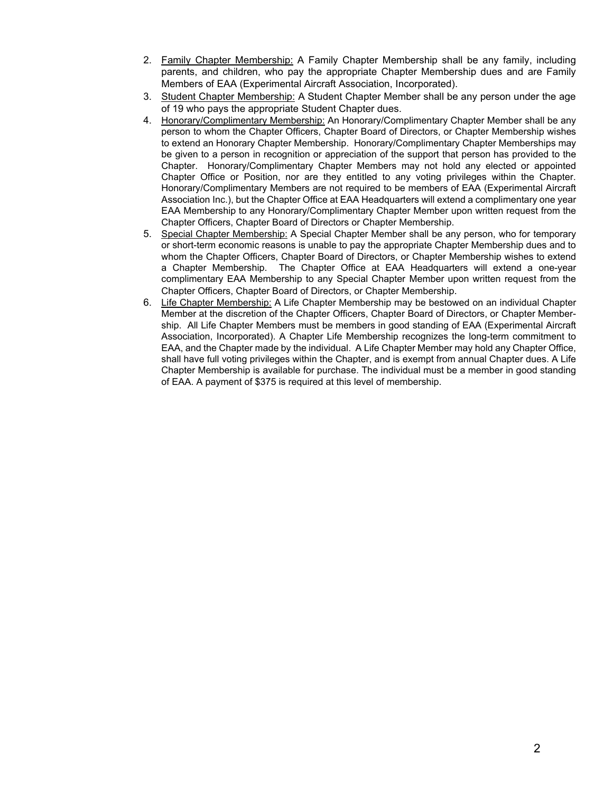- 2. Family Chapter Membership: A Family Chapter Membership shall be any family, including parents, and children, who pay the appropriate Chapter Membership dues and are Family Members of EAA (Experimental Aircraft Association, Incorporated).
- 3. Student Chapter Membership: A Student Chapter Member shall be any person under the age of 19 who pays the appropriate Student Chapter dues.
- 4. Honorary/Complimentary Membership: An Honorary/Complimentary Chapter Member shall be any person to whom the Chapter Officers, Chapter Board of Directors, or Chapter Membership wishes to extend an Honorary Chapter Membership. Honorary/Complimentary Chapter Memberships may be given to a person in recognition or appreciation of the support that person has provided to the Chapter. Honorary/Complimentary Chapter Members may not hold any elected or appointed Chapter Office or Position, nor are they entitled to any voting privileges within the Chapter. Honorary/Complimentary Members are not required to be members of EAA (Experimental Aircraft Association Inc.), but the Chapter Office at EAA Headquarters will extend a complimentary one year EAA Membership to any Honorary/Complimentary Chapter Member upon written request from the Chapter Officers, Chapter Board of Directors or Chapter Membership.
- 5. Special Chapter Membership: A Special Chapter Member shall be any person, who for temporary or short-term economic reasons is unable to pay the appropriate Chapter Membership dues and to whom the Chapter Officers, Chapter Board of Directors, or Chapter Membership wishes to extend a Chapter Membership. The Chapter Office at EAA Headquarters will extend a one-year complimentary EAA Membership to any Special Chapter Member upon written request from the Chapter Officers, Chapter Board of Directors, or Chapter Membership.
- 6. Life Chapter Membership: A Life Chapter Membership may be bestowed on an individual Chapter Member at the discretion of the Chapter Officers, Chapter Board of Directors, or Chapter Membership. All Life Chapter Members must be members in good standing of EAA (Experimental Aircraft Association, Incorporated). A Chapter Life Membership recognizes the long-term commitment to EAA, and the Chapter made by the individual. A Life Chapter Member may hold any Chapter Office, shall have full voting privileges within the Chapter, and is exempt from annual Chapter dues. A Life Chapter Membership is available for purchase. The individual must be a member in good standing of EAA. A payment of \$375 is required at this level of membership.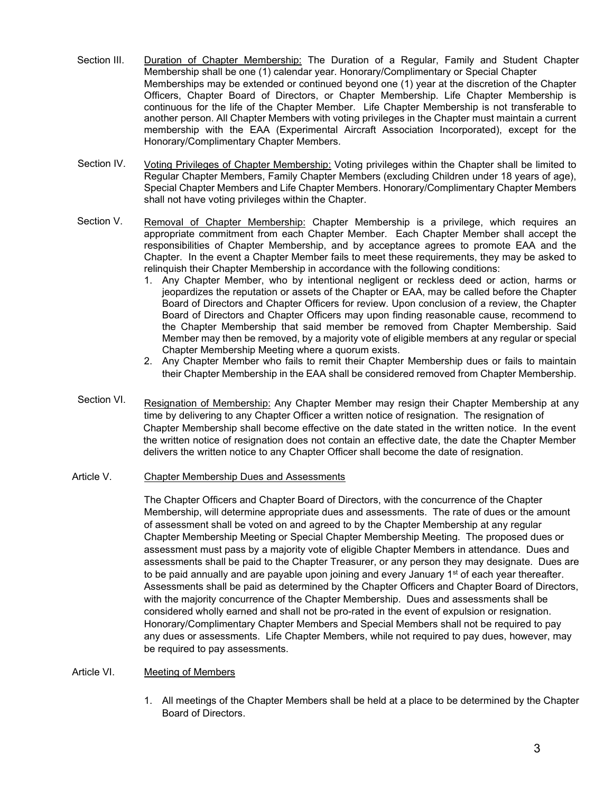- Section III. Duration of Chapter Membership: The Duration of a Regular, Family and Student Chapter Membership shall be one (1) calendar year. Honorary/Complimentary or Special Chapter Memberships may be extended or continued beyond one (1) year at the discretion of the Chapter Officers, Chapter Board of Directors, or Chapter Membership. Life Chapter Membership is continuous for the life of the Chapter Member. Life Chapter Membership is not transferable to another person. All Chapter Members with voting privileges in the Chapter must maintain a current membership with the EAA (Experimental Aircraft Association Incorporated), except for the Honorary/Complimentary Chapter Members.
- Section IV. Voting Privileges of Chapter Membership: Voting privileges within the Chapter shall be limited to Regular Chapter Members, Family Chapter Members (excluding Children under 18 years of age), Special Chapter Members and Life Chapter Members. Honorary/Complimentary Chapter Members shall not have voting privileges within the Chapter.
- Section V. Removal of Chapter Membership: Chapter Membership is a privilege, which requires an appropriate commitment from each Chapter Member. Each Chapter Member shall accept the responsibilities of Chapter Membership, and by acceptance agrees to promote EAA and the Chapter. In the event a Chapter Member fails to meet these requirements, they may be asked to relinquish their Chapter Membership in accordance with the following conditions:
	- 1. Any Chapter Member, who by intentional negligent or reckless deed or action, harms or jeopardizes the reputation or assets of the Chapter or EAA, may be called before the Chapter Board of Directors and Chapter Officers for review. Upon conclusion of a review, the Chapter Board of Directors and Chapter Officers may upon finding reasonable cause, recommend to the Chapter Membership that said member be removed from Chapter Membership. Said Member may then be removed, by a majority vote of eligible members at any regular or special Chapter Membership Meeting where a quorum exists.
	- 2. Any Chapter Member who fails to remit their Chapter Membership dues or fails to maintain their Chapter Membership in the EAA shall be considered removed from Chapter Membership.
- Section VI. Resignation of Membership: Any Chapter Member may resign their Chapter Membership at any time by delivering to any Chapter Officer a written notice of resignation. The resignation of Chapter Membership shall become effective on the date stated in the written notice. In the event the written notice of resignation does not contain an effective date, the date the Chapter Member delivers the written notice to any Chapter Officer shall become the date of resignation.
- Article V. Chapter Membership Dues and Assessments

The Chapter Officers and Chapter Board of Directors, with the concurrence of the Chapter Membership, will determine appropriate dues and assessments. The rate of dues or the amount of assessment shall be voted on and agreed to by the Chapter Membership at any regular Chapter Membership Meeting or Special Chapter Membership Meeting. The proposed dues or assessment must pass by a majority vote of eligible Chapter Members in attendance. Dues and assessments shall be paid to the Chapter Treasurer, or any person they may designate. Dues are to be paid annually and are payable upon joining and every January 1<sup>st</sup> of each year thereafter. Assessments shall be paid as determined by the Chapter Officers and Chapter Board of Directors, with the majority concurrence of the Chapter Membership. Dues and assessments shall be considered wholly earned and shall not be pro-rated in the event of expulsion or resignation. Honorary/Complimentary Chapter Members and Special Members shall not be required to pay any dues or assessments. Life Chapter Members, while not required to pay dues, however, may be required to pay assessments.

#### Article VI. Meeting of Members

1. All meetings of the Chapter Members shall be held at a place to be determined by the Chapter Board of Directors.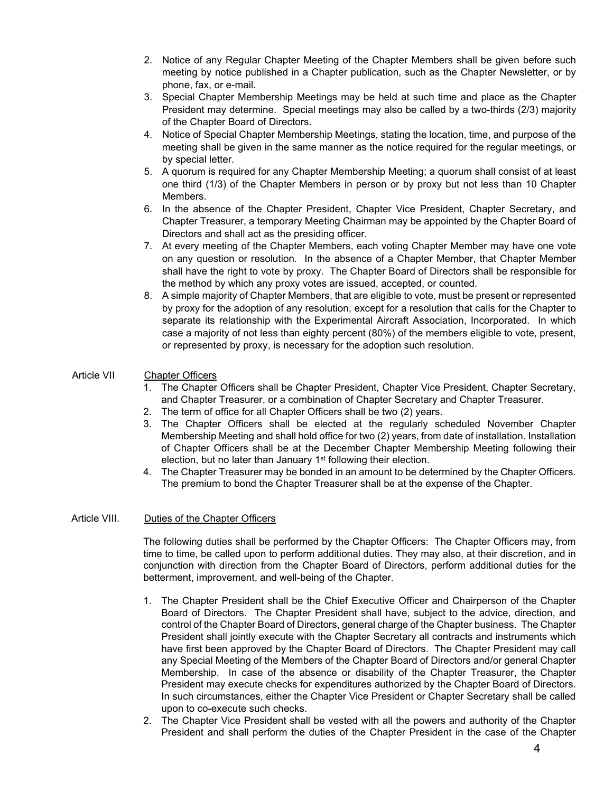- 2. Notice of any Regular Chapter Meeting of the Chapter Members shall be given before such meeting by notice published in a Chapter publication, such as the Chapter Newsletter, or by phone, fax, or e-mail.
- 3. Special Chapter Membership Meetings may be held at such time and place as the Chapter President may determine. Special meetings may also be called by a two-thirds (2/3) majority of the Chapter Board of Directors.
- 4. Notice of Special Chapter Membership Meetings, stating the location, time, and purpose of the meeting shall be given in the same manner as the notice required for the regular meetings, or by special letter.
- 5. A quorum is required for any Chapter Membership Meeting; a quorum shall consist of at least one third (1/3) of the Chapter Members in person or by proxy but not less than 10 Chapter Members.
- 6. In the absence of the Chapter President, Chapter Vice President, Chapter Secretary, and Chapter Treasurer, a temporary Meeting Chairman may be appointed by the Chapter Board of Directors and shall act as the presiding officer.
- 7. At every meeting of the Chapter Members, each voting Chapter Member may have one vote on any question or resolution. In the absence of a Chapter Member, that Chapter Member shall have the right to vote by proxy. The Chapter Board of Directors shall be responsible for the method by which any proxy votes are issued, accepted, or counted.
- 8. A simple majority of Chapter Members, that are eligible to vote, must be present or represented by proxy for the adoption of any resolution, except for a resolution that calls for the Chapter to separate its relationship with the Experimental Aircraft Association, Incorporated. In which case a majority of not less than eighty percent (80%) of the members eligible to vote, present, or represented by proxy, is necessary for the adoption such resolution.

#### Article VII Chapter Officers

- 1. The Chapter Officers shall be Chapter President, Chapter Vice President, Chapter Secretary, and Chapter Treasurer, or a combination of Chapter Secretary and Chapter Treasurer.
- 2. The term of office for all Chapter Officers shall be two (2) years.
- 3. The Chapter Officers shall be elected at the regularly scheduled November Chapter Membership Meeting and shall hold office for two (2) years, from date of installation. Installation of Chapter Officers shall be at the December Chapter Membership Meeting following their election, but no later than January 1<sup>st</sup> following their election.
- 4. The Chapter Treasurer may be bonded in an amount to be determined by the Chapter Officers. The premium to bond the Chapter Treasurer shall be at the expense of the Chapter.

#### Article VIII. Duties of the Chapter Officers

The following duties shall be performed by the Chapter Officers: The Chapter Officers may, from time to time, be called upon to perform additional duties. They may also, at their discretion, and in conjunction with direction from the Chapter Board of Directors, perform additional duties for the betterment, improvement, and well-being of the Chapter.

- 1. The Chapter President shall be the Chief Executive Officer and Chairperson of the Chapter Board of Directors. The Chapter President shall have, subject to the advice, direction, and control of the Chapter Board of Directors, general charge of the Chapter business. The Chapter President shall jointly execute with the Chapter Secretary all contracts and instruments which have first been approved by the Chapter Board of Directors. The Chapter President may call any Special Meeting of the Members of the Chapter Board of Directors and/or general Chapter Membership. In case of the absence or disability of the Chapter Treasurer, the Chapter President may execute checks for expenditures authorized by the Chapter Board of Directors. In such circumstances, either the Chapter Vice President or Chapter Secretary shall be called upon to co-execute such checks.
- 2. The Chapter Vice President shall be vested with all the powers and authority of the Chapter President and shall perform the duties of the Chapter President in the case of the Chapter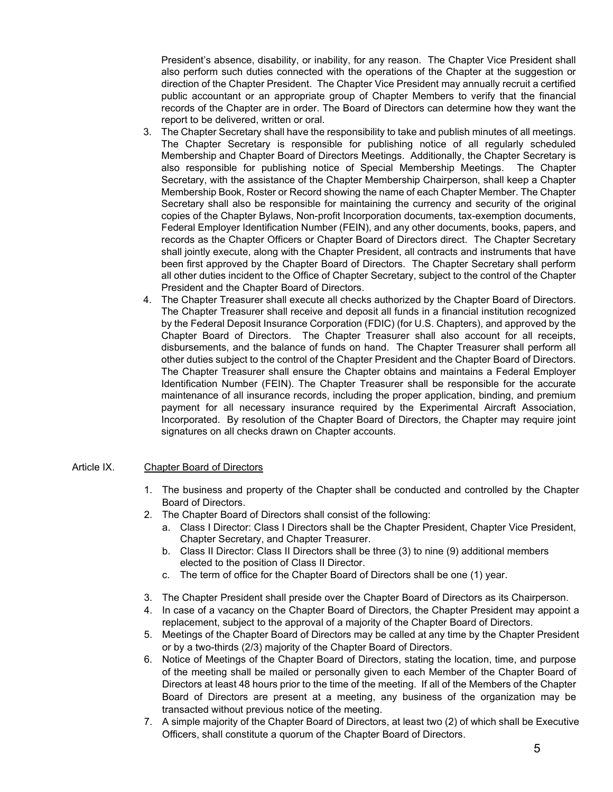President's absence, disability, or inability, for any reason. The Chapter Vice President shall also perform such duties connected with the operations of the Chapter at the suggestion or direction of the Chapter President. The Chapter Vice President may annually recruit a certified public accountant or an appropriate group of Chapter Members to verify that the financial records of the Chapter are in order. The Board of Directors can determine how they want the report to be delivered, written or oral.

- 3. The Chapter Secretary shall have the responsibility to take and publish minutes of all meetings. The Chapter Secretary is responsible for publishing notice of all regularly scheduled Membership and Chapter Board of Directors Meetings. Additionally, the Chapter Secretary is also responsible for publishing notice of Special Membership Meetings. The Chapter Secretary, with the assistance of the Chapter Membership Chairperson, shall keep a Chapter Membership Book, Roster or Record showing the name of each Chapter Member. The Chapter Secretary shall also be responsible for maintaining the currency and security of the original copies of the Chapter Bylaws, Non-profit Incorporation documents, tax-exemption documents, Federal Employer Identification Number (FEIN), and any other documents, books, papers, and records as the Chapter Officers or Chapter Board of Directors direct. The Chapter Secretary shall jointly execute, along with the Chapter President, all contracts and instruments that have been first approved by the Chapter Board of Directors. The Chapter Secretary shall perform all other duties incident to the Office of Chapter Secretary, subject to the control of the Chapter President and the Chapter Board of Directors.
- 4. The Chapter Treasurer shall execute all checks authorized by the Chapter Board of Directors. The Chapter Treasurer shall receive and deposit all funds in a financial institution recognized by the Federal Deposit Insurance Corporation (FDIC) (for U.S. Chapters), and approved by the Chapter Board of Directors. The Chapter Treasurer shall also account for all receipts, disbursements, and the balance of funds on hand. The Chapter Treasurer shall perform all other duties subject to the control of the Chapter President and the Chapter Board of Directors. The Chapter Treasurer shall ensure the Chapter obtains and maintains a Federal Employer Identification Number (FEIN). The Chapter Treasurer shall be responsible for the accurate maintenance of all insurance records, including the proper application, binding, and premium payment for all necessary insurance required by the Experimental Aircraft Association, Incorporated. By resolution of the Chapter Board of Directors, the Chapter may require joint signatures on all checks drawn on Chapter accounts.

#### Article IX. Chapter Board of Directors

- 1. The business and property of the Chapter shall be conducted and controlled by the Chapter Board of Directors.
- 2. The Chapter Board of Directors shall consist of the following:
	- a. Class I Director: Class I Directors shall be the Chapter President, Chapter Vice President, Chapter Secretary, and Chapter Treasurer.
	- b. Class II Director: Class II Directors shall be three (3) to nine (9) additional members elected to the position of Class II Director.
	- c. The term of office for the Chapter Board of Directors shall be one (1) year.
- 3. The Chapter President shall preside over the Chapter Board of Directors as its Chairperson.
- 4. In case of a vacancy on the Chapter Board of Directors, the Chapter President may appoint a replacement, subject to the approval of a majority of the Chapter Board of Directors.
- 5. Meetings of the Chapter Board of Directors may be called at any time by the Chapter President or by a two-thirds (2/3) majority of the Chapter Board of Directors.
- 6. Notice of Meetings of the Chapter Board of Directors, stating the location, time, and purpose of the meeting shall be mailed or personally given to each Member of the Chapter Board of Directors at least 48 hours prior to the time of the meeting. If all of the Members of the Chapter Board of Directors are present at a meeting, any business of the organization may be transacted without previous notice of the meeting.
- 7. A simple majority of the Chapter Board of Directors, at least two (2) of which shall be Executive Officers, shall constitute a quorum of the Chapter Board of Directors.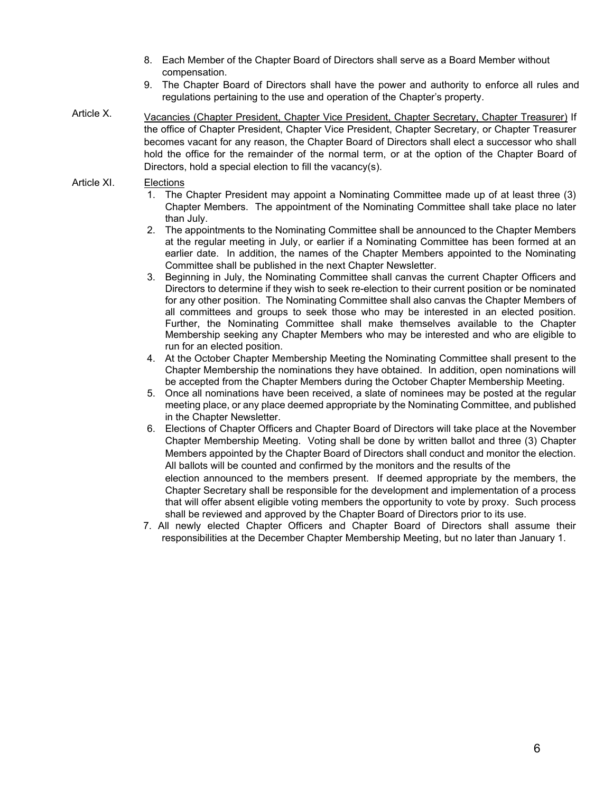- 8. Each Member of the Chapter Board of Directors shall serve as a Board Member without compensation.
- 9. The Chapter Board of Directors shall have the power and authority to enforce all rules and regulations pertaining to the use and operation of the Chapter's property.
- Article X. Vacancies (Chapter President, Chapter Vice President, Chapter Secretary, Chapter Treasurer) If the office of Chapter President, Chapter Vice President, Chapter Secretary, or Chapter Treasurer becomes vacant for any reason, the Chapter Board of Directors shall elect a successor who shall hold the office for the remainder of the normal term, or at the option of the Chapter Board of Directors, hold a special election to fill the vacancy(s).

#### Article XI. Elections

- 1. The Chapter President may appoint a Nominating Committee made up of at least three (3) Chapter Members. The appointment of the Nominating Committee shall take place no later than July.
- 2. The appointments to the Nominating Committee shall be announced to the Chapter Members at the regular meeting in July, or earlier if a Nominating Committee has been formed at an earlier date. In addition, the names of the Chapter Members appointed to the Nominating Committee shall be published in the next Chapter Newsletter.
- 3. Beginning in July, the Nominating Committee shall canvas the current Chapter Officers and Directors to determine if they wish to seek re-election to their current position or be nominated for any other position. The Nominating Committee shall also canvas the Chapter Members of all committees and groups to seek those who may be interested in an elected position. Further, the Nominating Committee shall make themselves available to the Chapter Membership seeking any Chapter Members who may be interested and who are eligible to run for an elected position.
- 4. At the October Chapter Membership Meeting the Nominating Committee shall present to the Chapter Membership the nominations they have obtained. In addition, open nominations will be accepted from the Chapter Members during the October Chapter Membership Meeting.
- 5. Once all nominations have been received, a slate of nominees may be posted at the regular meeting place, or any place deemed appropriate by the Nominating Committee, and published in the Chapter Newsletter.
- 6. Elections of Chapter Officers and Chapter Board of Directors will take place at the November Chapter Membership Meeting. Voting shall be done by written ballot and three (3) Chapter Members appointed by the Chapter Board of Directors shall conduct and monitor the election. All ballots will be counted and confirmed by the monitors and the results of the election announced to the members present. If deemed appropriate by the members, the Chapter Secretary shall be responsible for the development and implementation of a process that will offer absent eligible voting members the opportunity to vote by proxy. Such process shall be reviewed and approved by the Chapter Board of Directors prior to its use.
- 7. All newly elected Chapter Officers and Chapter Board of Directors shall assume their responsibilities at the December Chapter Membership Meeting, but no later than January 1.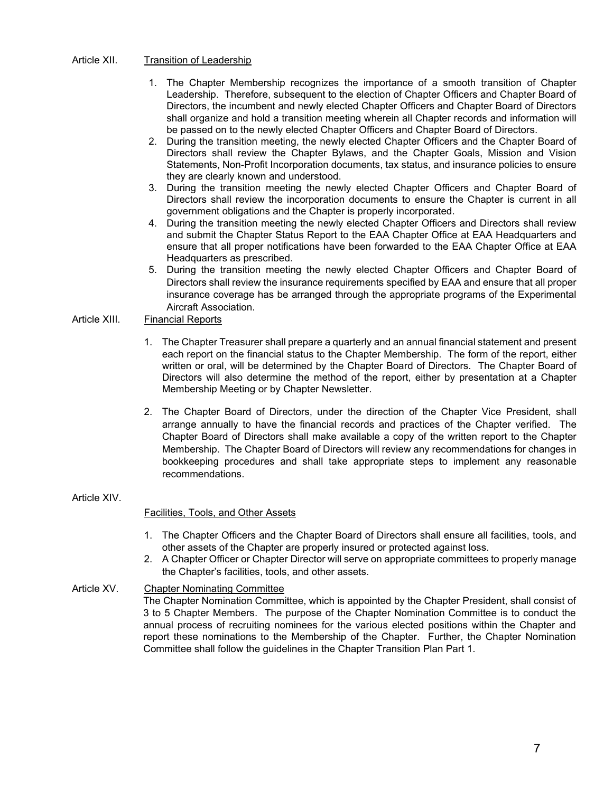#### Article XII. Transition of Leadership

- 1. The Chapter Membership recognizes the importance of a smooth transition of Chapter Leadership. Therefore, subsequent to the election of Chapter Officers and Chapter Board of Directors, the incumbent and newly elected Chapter Officers and Chapter Board of Directors shall organize and hold a transition meeting wherein all Chapter records and information will be passed on to the newly elected Chapter Officers and Chapter Board of Directors.
- 2. During the transition meeting, the newly elected Chapter Officers and the Chapter Board of Directors shall review the Chapter Bylaws, and the Chapter Goals, Mission and Vision Statements, Non-Profit Incorporation documents, tax status, and insurance policies to ensure they are clearly known and understood.
- 3. During the transition meeting the newly elected Chapter Officers and Chapter Board of Directors shall review the incorporation documents to ensure the Chapter is current in all government obligations and the Chapter is properly incorporated.
- 4. During the transition meeting the newly elected Chapter Officers and Directors shall review and submit the Chapter Status Report to the EAA Chapter Office at EAA Headquarters and ensure that all proper notifications have been forwarded to the EAA Chapter Office at EAA Headquarters as prescribed.
- 5. During the transition meeting the newly elected Chapter Officers and Chapter Board of Directors shall review the insurance requirements specified by EAA and ensure that all proper insurance coverage has be arranged through the appropriate programs of the Experimental Aircraft Association.

#### Article XIII. Financial Reports

- 1. The Chapter Treasurer shall prepare a quarterly and an annual financial statement and present each report on the financial status to the Chapter Membership. The form of the report, either written or oral, will be determined by the Chapter Board of Directors. The Chapter Board of Directors will also determine the method of the report, either by presentation at a Chapter Membership Meeting or by Chapter Newsletter.
- 2. The Chapter Board of Directors, under the direction of the Chapter Vice President, shall arrange annually to have the financial records and practices of the Chapter verified. The Chapter Board of Directors shall make available a copy of the written report to the Chapter Membership. The Chapter Board of Directors will review any recommendations for changes in bookkeeping procedures and shall take appropriate steps to implement any reasonable recommendations.

#### Article XIV.

#### Facilities, Tools, and Other Assets

- 1. The Chapter Officers and the Chapter Board of Directors shall ensure all facilities, tools, and other assets of the Chapter are properly insured or protected against loss.
- 2. A Chapter Officer or Chapter Director will serve on appropriate committees to properly manage the Chapter's facilities, tools, and other assets.

#### Article XV. Chapter Nominating Committee The Chapter Nomination Committee, which is appointed by the Chapter President, shall consist of 3 to 5 Chapter Members. The purpose of the Chapter Nomination Committee is to conduct the annual process of recruiting nominees for the various elected positions within the Chapter and report these nominations to the Membership of the Chapter. Further, the Chapter Nomination Committee shall follow the guidelines in the Chapter Transition Plan Part 1.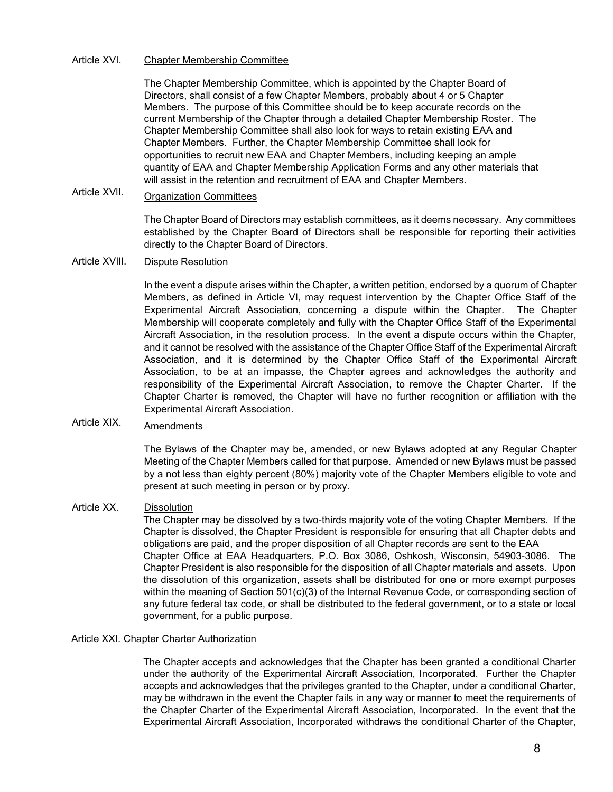#### Article XVI. Chapter Membership Committee

The Chapter Membership Committee, which is appointed by the Chapter Board of Directors, shall consist of a few Chapter Members, probably about 4 or 5 Chapter Members. The purpose of this Committee should be to keep accurate records on the current Membership of the Chapter through a detailed Chapter Membership Roster. The Chapter Membership Committee shall also look for ways to retain existing EAA and Chapter Members. Further, the Chapter Membership Committee shall look for opportunities to recruit new EAA and Chapter Members, including keeping an ample quantity of EAA and Chapter Membership Application Forms and any other materials that will assist in the retention and recruitment of EAA and Chapter Members.

# Article XVlI. Organization Committees

The Chapter Board of Directors may establish committees, as it deems necessary. Any committees established by the Chapter Board of Directors shall be responsible for reporting their activities directly to the Chapter Board of Directors.

#### Article XVIlI. Dispute Resolution

In the event a dispute arises within the Chapter, a written petition, endorsed by a quorum of Chapter Members, as defined in Article VI, may request intervention by the Chapter Office Staff of the Experimental Aircraft Association, concerning a dispute within the Chapter. The Chapter Membership will cooperate completely and fully with the Chapter Office Staff of the Experimental Aircraft Association, in the resolution process. In the event a dispute occurs within the Chapter, and it cannot be resolved with the assistance of the Chapter Office Staff of the Experimental Aircraft Association, and it is determined by the Chapter Office Staff of the Experimental Aircraft Association, to be at an impasse, the Chapter agrees and acknowledges the authority and responsibility of the Experimental Aircraft Association, to remove the Chapter Charter. If the Chapter Charter is removed, the Chapter will have no further recognition or affiliation with the Experimental Aircraft Association.

# Article XIX. Amendments

The Bylaws of the Chapter may be, amended, or new Bylaws adopted at any Regular Chapter Meeting of the Chapter Members called for that purpose. Amended or new Bylaws must be passed by a not less than eighty percent (80%) majority vote of the Chapter Members eligible to vote and present at such meeting in person or by proxy.

#### Article XX. Dissolution

The Chapter may be dissolved by a two-thirds majority vote of the voting Chapter Members. If the Chapter is dissolved, the Chapter President is responsible for ensuring that all Chapter debts and obligations are paid, and the proper disposition of all Chapter records are sent to the EAA Chapter Office at EAA Headquarters, P.O. Box 3086, Oshkosh, Wisconsin, 54903-3086. The Chapter President is also responsible for the disposition of all Chapter materials and assets. Upon the dissolution of this organization, assets shall be distributed for one or more exempt purposes within the meaning of Section 501(c)(3) of the Internal Revenue Code, or corresponding section of any future federal tax code, or shall be distributed to the federal government, or to a state or local government, for a public purpose.

#### Article XXI. Chapter Charter Authorization

The Chapter accepts and acknowledges that the Chapter has been granted a conditional Charter under the authority of the Experimental Aircraft Association, Incorporated. Further the Chapter accepts and acknowledges that the privileges granted to the Chapter, under a conditional Charter, may be withdrawn in the event the Chapter fails in any way or manner to meet the requirements of the Chapter Charter of the Experimental Aircraft Association, Incorporated. In the event that the Experimental Aircraft Association, Incorporated withdraws the conditional Charter of the Chapter,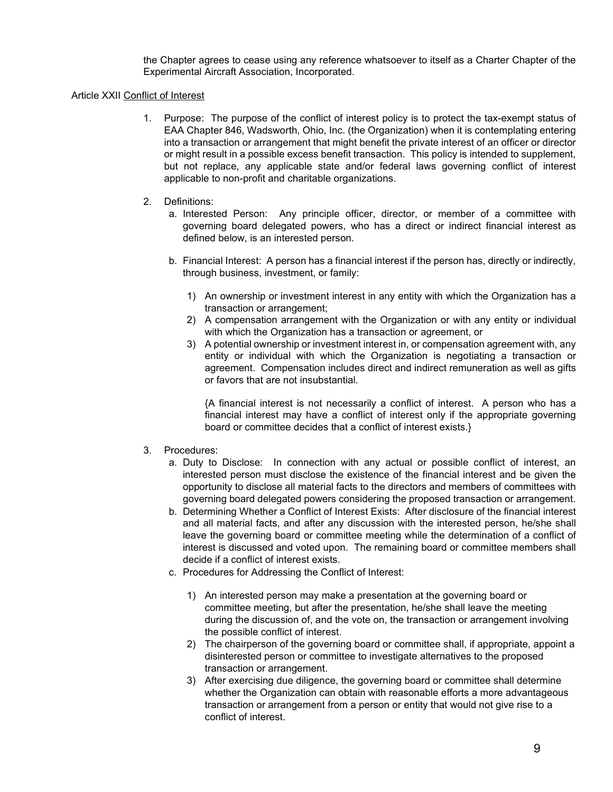the Chapter agrees to cease using any reference whatsoever to itself as a Charter Chapter of the Experimental Aircraft Association, Incorporated.

#### Article XXII Conflict of Interest

- 1. Purpose: The purpose of the conflict of interest policy is to protect the tax-exempt status of EAA Chapter 846, Wadsworth, Ohio, Inc. (the Organization) when it is contemplating entering into a transaction or arrangement that might benefit the private interest of an officer or director or might result in a possible excess benefit transaction. This policy is intended to supplement, but not replace, any applicable state and/or federal laws governing conflict of interest applicable to non-profit and charitable organizations.
- 2. Definitions:
	- a. Interested Person: Any principle officer, director, or member of a committee with governing board delegated powers, who has a direct or indirect financial interest as defined below, is an interested person.
	- b. Financial Interest: A person has a financial interest if the person has, directly or indirectly, through business, investment, or family:
		- 1) An ownership or investment interest in any entity with which the Organization has a transaction or arrangement;
		- 2) A compensation arrangement with the Organization or with any entity or individual with which the Organization has a transaction or agreement, or
		- 3) A potential ownership or investment interest in, or compensation agreement with, any entity or individual with which the Organization is negotiating a transaction or agreement. Compensation includes direct and indirect remuneration as well as gifts or favors that are not insubstantial.

{A financial interest is not necessarily a conflict of interest. A person who has a financial interest may have a conflict of interest only if the appropriate governing board or committee decides that a conflict of interest exists.}

#### 3. Procedures:

- a. Duty to Disclose: In connection with any actual or possible conflict of interest, an interested person must disclose the existence of the financial interest and be given the opportunity to disclose all material facts to the directors and members of committees with governing board delegated powers considering the proposed transaction or arrangement.
- b. Determining Whether a Conflict of Interest Exists: After disclosure of the financial interest and all material facts, and after any discussion with the interested person, he/she shall leave the governing board or committee meeting while the determination of a conflict of interest is discussed and voted upon. The remaining board or committee members shall decide if a conflict of interest exists.
- c. Procedures for Addressing the Conflict of Interest:
	- 1) An interested person may make a presentation at the governing board or committee meeting, but after the presentation, he/she shall leave the meeting during the discussion of, and the vote on, the transaction or arrangement involving the possible conflict of interest.
	- 2) The chairperson of the governing board or committee shall, if appropriate, appoint a disinterested person or committee to investigate alternatives to the proposed transaction or arrangement.
	- 3) After exercising due diligence, the governing board or committee shall determine whether the Organization can obtain with reasonable efforts a more advantageous transaction or arrangement from a person or entity that would not give rise to a conflict of interest.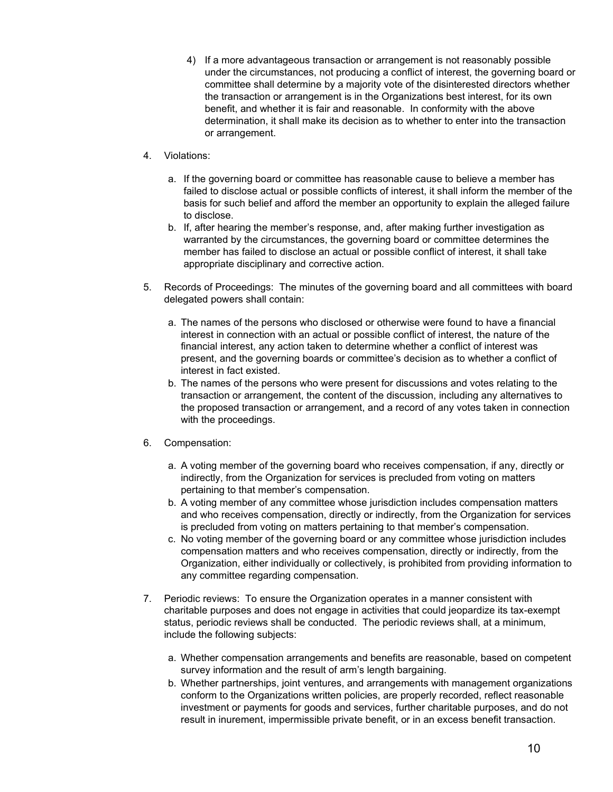4) If a more advantageous transaction or arrangement is not reasonably possible under the circumstances, not producing a conflict of interest, the governing board or committee shall determine by a majority vote of the disinterested directors whether the transaction or arrangement is in the Organizations best interest, for its own benefit, and whether it is fair and reasonable. In conformity with the above determination, it shall make its decision as to whether to enter into the transaction or arrangement.

#### 4. Violations:

- a. If the governing board or committee has reasonable cause to believe a member has failed to disclose actual or possible conflicts of interest, it shall inform the member of the basis for such belief and afford the member an opportunity to explain the alleged failure to disclose.
- b. If, after hearing the member's response, and, after making further investigation as warranted by the circumstances, the governing board or committee determines the member has failed to disclose an actual or possible conflict of interest, it shall take appropriate disciplinary and corrective action.
- 5. Records of Proceedings: The minutes of the governing board and all committees with board delegated powers shall contain:
	- a. The names of the persons who disclosed or otherwise were found to have a financial interest in connection with an actual or possible conflict of interest, the nature of the financial interest, any action taken to determine whether a conflict of interest was present, and the governing boards or committee's decision as to whether a conflict of interest in fact existed.
	- b. The names of the persons who were present for discussions and votes relating to the transaction or arrangement, the content of the discussion, including any alternatives to the proposed transaction or arrangement, and a record of any votes taken in connection with the proceedings.

#### 6. Compensation:

- a. A voting member of the governing board who receives compensation, if any, directly or indirectly, from the Organization for services is precluded from voting on matters pertaining to that member's compensation.
- b. A voting member of any committee whose jurisdiction includes compensation matters and who receives compensation, directly or indirectly, from the Organization for services is precluded from voting on matters pertaining to that member's compensation.
- c. No voting member of the governing board or any committee whose jurisdiction includes compensation matters and who receives compensation, directly or indirectly, from the Organization, either individually or collectively, is prohibited from providing information to any committee regarding compensation.
- 7. Periodic reviews: To ensure the Organization operates in a manner consistent with charitable purposes and does not engage in activities that could jeopardize its tax-exempt status, periodic reviews shall be conducted. The periodic reviews shall, at a minimum, include the following subjects:
	- a. Whether compensation arrangements and benefits are reasonable, based on competent survey information and the result of arm's length bargaining.
	- b. Whether partnerships, joint ventures, and arrangements with management organizations conform to the Organizations written policies, are properly recorded, reflect reasonable investment or payments for goods and services, further charitable purposes, and do not result in inurement, impermissible private benefit, or in an excess benefit transaction.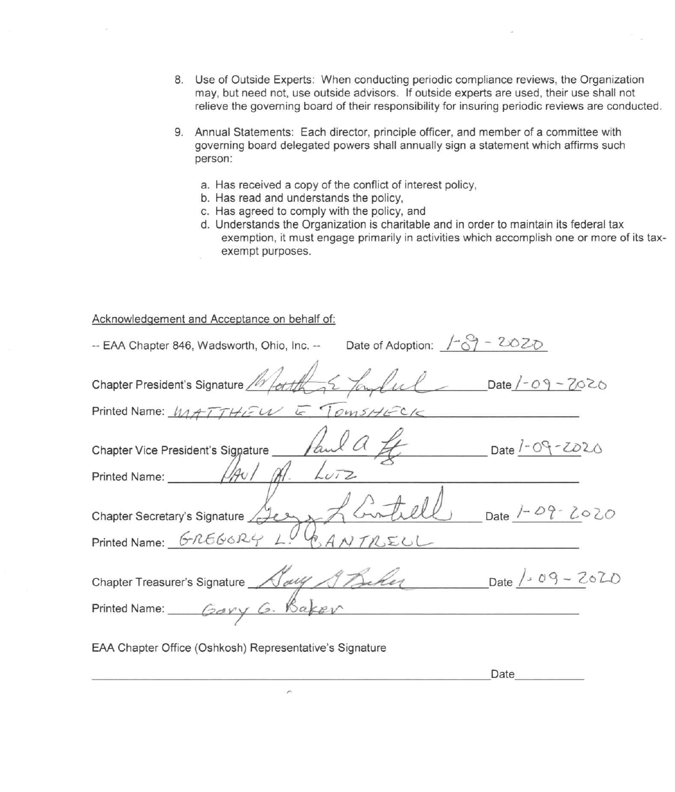- 8. Use of Outside Experts: When conducting periodic compliance reviews, the Organization may, but need not, use outside advisors. If outside experts are used, their use shall not relieve the governing board of their responsibility for insuring periodic reviews are conducted.
- 9. Annual Statements: Each director, principle officer, and member of a committee with governing board delegated powers shall annually sign a statement which affirms such person:
	- a. Has received a copy of the conflict of interest policy.
	- b. Has read and understands the policy,
	- c. Has agreed to comply with the policy, and
	- d. Understands the Organization is charitable and in order to maintain its federal tax exemption, it must engage primarily in activities which accomplish one or more of its taxexempt purposes.

#### Acknowledgement and Acceptance on behalf of:

| Date of Adoption: $\sqrt{-}67 - 2020$<br>-- EAA Chapter 846, Wadsworth, Ohio, Inc. --                                                                                                                                                                                                                                                                                                                                                                                                         |  |  |  |  |  |
|-----------------------------------------------------------------------------------------------------------------------------------------------------------------------------------------------------------------------------------------------------------------------------------------------------------------------------------------------------------------------------------------------------------------------------------------------------------------------------------------------|--|--|--|--|--|
| Chapter President's Signature Methan & Tourlul<br>Date $/ - 09 - 7020$                                                                                                                                                                                                                                                                                                                                                                                                                        |  |  |  |  |  |
| Printed Name: MATTHEW E TOWSHECK                                                                                                                                                                                                                                                                                                                                                                                                                                                              |  |  |  |  |  |
| Chapter Vice President's Signature _ faul a ff<br>Date $1 - O9 - ZD20$<br>Printed Name: $\mu_{\text{PU}}/(\mu_{\text{H}}/\mu_{\text{H}})/(\mu_{\text{H}}/(\mu_{\text{H}})/(\mu_{\text{H}})/(\mu_{\text{H}})/(\mu_{\text{H}})/(\mu_{\text{H}})/(\mu_{\text{H}})/(\mu_{\text{H}})/(\mu_{\text{H}})/(\mu_{\text{H}})/(\mu_{\text{H}})/(\mu_{\text{H}})/(\mu_{\text{H}})/(\mu_{\text{H}})/(\mu_{\text{H}})/(\mu_{\text{H}})/(\mu_{\text{H}})/(\mu_{\text{H}})/(\mu_{\text{H}})/(\mu_{\text{H}})/$ |  |  |  |  |  |
|                                                                                                                                                                                                                                                                                                                                                                                                                                                                                               |  |  |  |  |  |
| Chapter Secretary's Signature Gers & Lintell<br>Date $1 - 09 - 2020$                                                                                                                                                                                                                                                                                                                                                                                                                          |  |  |  |  |  |
| Printed Name: GREGORY L. GANTREL                                                                                                                                                                                                                                                                                                                                                                                                                                                              |  |  |  |  |  |
| Chapter Treasurer's Signature Aay A Buker<br>Date $/209 - 2020$                                                                                                                                                                                                                                                                                                                                                                                                                               |  |  |  |  |  |
| Printed Name: <i>Gary G. Baker</i>                                                                                                                                                                                                                                                                                                                                                                                                                                                            |  |  |  |  |  |

EAA Chapter Office (Oshkosh) Representative's Signature

Date